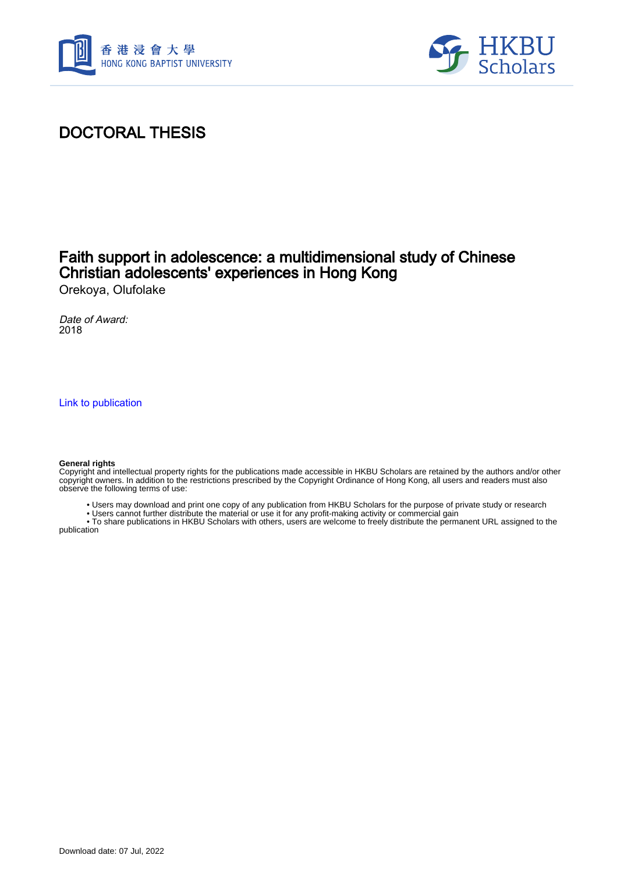



# DOCTORAL THESIS

## Faith support in adolescence: a multidimensional study of Chinese Christian adolescents' experiences in Hong Kong

Orekoya, Olufolake

Date of Award: 2018

[Link to publication](https://scholars.hkbu.edu.hk/en/studentTheses/8cb6fa43-1b47-4c81-ae2a-7087e9eb4dd6)

#### **General rights**

Copyright and intellectual property rights for the publications made accessible in HKBU Scholars are retained by the authors and/or other copyright owners. In addition to the restrictions prescribed by the Copyright Ordinance of Hong Kong, all users and readers must also observe the following terms of use:

- Users may download and print one copy of any publication from HKBU Scholars for the purpose of private study or research
- Users cannot further distribute the material or use it for any profit-making activity or commercial gain

 • To share publications in HKBU Scholars with others, users are welcome to freely distribute the permanent URL assigned to the publication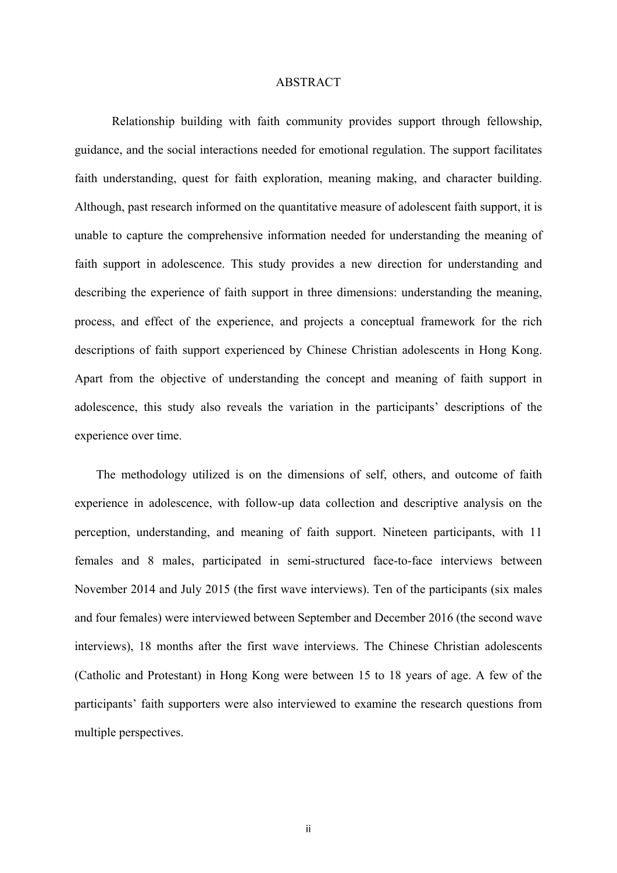### ABSTRACT

Relationship building with faith community provides support through fellowship, guidance, and the social interactions needed for emotional regulation. The support facilitates faith understanding, quest for faith exploration, meaning making, and character building. Although, past research informed on the quantitative measure of adolescent faith support, it is unable to capture the comprehensive information needed for understanding the meaning of faith support in adolescence. This study provides a new direction for understanding and describing the experience of faith support in three dimensions: understanding the meaning, process, and effect of the experience, and projects a conceptual framework for the rich descriptions of faith support experienced by Chinese Christian adolescents in Hong Kong. Apart from the objective of understanding the concept and meaning of faith support in adolescence, this study also reveals the variation in the participants' descriptions of the experience over time.

The methodology utilized is on the dimensions of self, others, and outcome of faith experience in adolescence, with follow-up data collection and descriptive analysis on the perception, understanding, and meaning of faith support. Nineteen participants, with 11 females and 8 males, participated in semi-structured face-to-face interviews between November 2014 and July 2015 (the first wave interviews). Ten of the participants (six males and four females) were interviewed between September and December 2016 (the second wave interviews), 18 months after the first wave interviews. The Chinese Christian adolescents (Catholic and Protestant) in Hong Kong were between 15 to 18 years of age. A few of the participants' faith supporters were also interviewed to examine the research questions from multiple perspectives.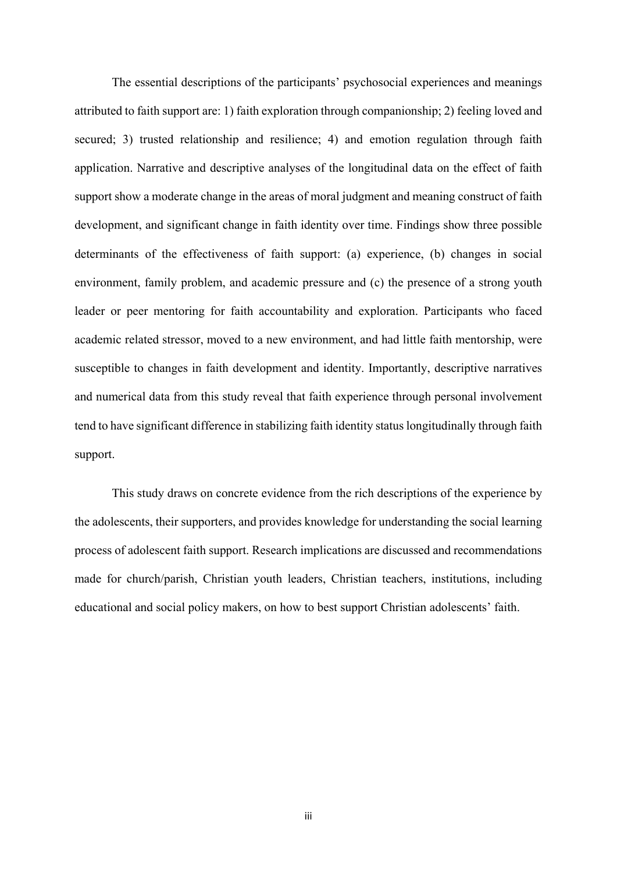The essential descriptions of the participants' psychosocial experiences and meanings attributed to faith support are: 1) faith exploration through companionship; 2) feeling loved and secured; 3) trusted relationship and resilience; 4) and emotion regulation through faith application. Narrative and descriptive analyses of the longitudinal data on the effect of faith support show a moderate change in the areas of moral judgment and meaning construct of faith development, and significant change in faith identity over time. Findings show three possible determinants of the effectiveness of faith support: (a) experience, (b) changes in social environment, family problem, and academic pressure and (c) the presence of a strong youth leader or peer mentoring for faith accountability and exploration. Participants who faced academic related stressor, moved to a new environment, and had little faith mentorship, were susceptible to changes in faith development and identity. Importantly, descriptive narratives and numerical data from this study reveal that faith experience through personal involvement tend to have significant difference in stabilizing faith identity status longitudinally through faith support.

This study draws on concrete evidence from the rich descriptions of the experience by the adolescents, their supporters, and provides knowledge for understanding the social learning process of adolescent faith support. Research implications are discussed and recommendations made for church/parish, Christian youth leaders, Christian teachers, institutions, including educational and social policy makers, on how to best support Christian adolescents' faith.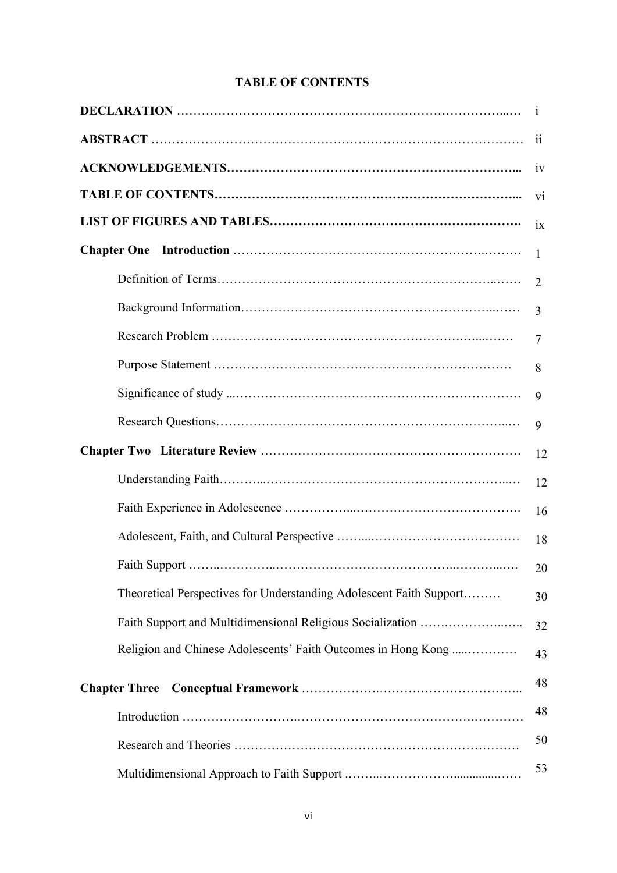### **TABLE OF CONTENTS**

|                                                                     | $\mathbf{i}$        |
|---------------------------------------------------------------------|---------------------|
|                                                                     | $\ddot{\mathbf{i}}$ |
|                                                                     | 1V                  |
|                                                                     | $\overline{v}$      |
|                                                                     | ix                  |
|                                                                     | 1                   |
|                                                                     | $\overline{2}$      |
|                                                                     | $\overline{3}$      |
|                                                                     | $\overline{7}$      |
|                                                                     | 8                   |
|                                                                     | 9                   |
|                                                                     | 9                   |
|                                                                     | 12                  |
|                                                                     | 12                  |
|                                                                     | 16                  |
|                                                                     | 18                  |
|                                                                     | 20                  |
| Theoretical Perspectives for Understanding Adolescent Faith Support | 30                  |
| Faith Support and Multidimensional Religious Socialization          | 32                  |
| Religion and Chinese Adolescents' Faith Outcomes in Hong Kong       | 43                  |
| <b>Chapter Three</b>                                                | 48                  |
|                                                                     | 48                  |
|                                                                     | 50                  |
|                                                                     | 53                  |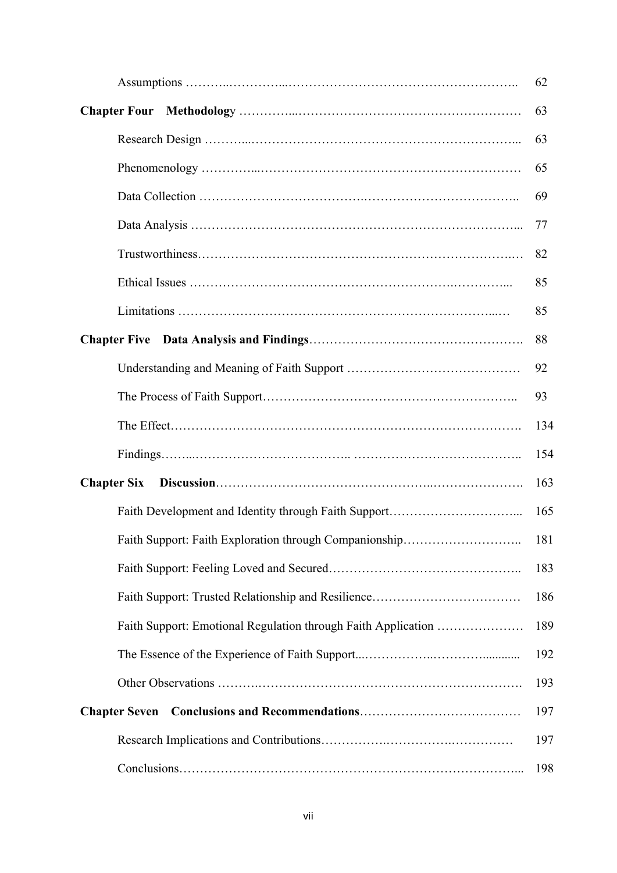|                                                               | 62  |
|---------------------------------------------------------------|-----|
|                                                               | 63  |
|                                                               | 63  |
|                                                               | 65  |
|                                                               | 69  |
|                                                               | 77  |
|                                                               | 82  |
|                                                               | 85  |
|                                                               | 85  |
|                                                               | 88  |
|                                                               | 92  |
|                                                               | 93  |
|                                                               | 134 |
|                                                               | 154 |
| <b>Chapter Six</b>                                            | 163 |
|                                                               | 165 |
| Faith Support: Faith Exploration through Companionship        | 181 |
|                                                               | 183 |
|                                                               | 186 |
| Faith Support: Emotional Regulation through Faith Application | 189 |
|                                                               | 192 |
|                                                               | 193 |
|                                                               | 197 |
|                                                               | 197 |
|                                                               | 198 |